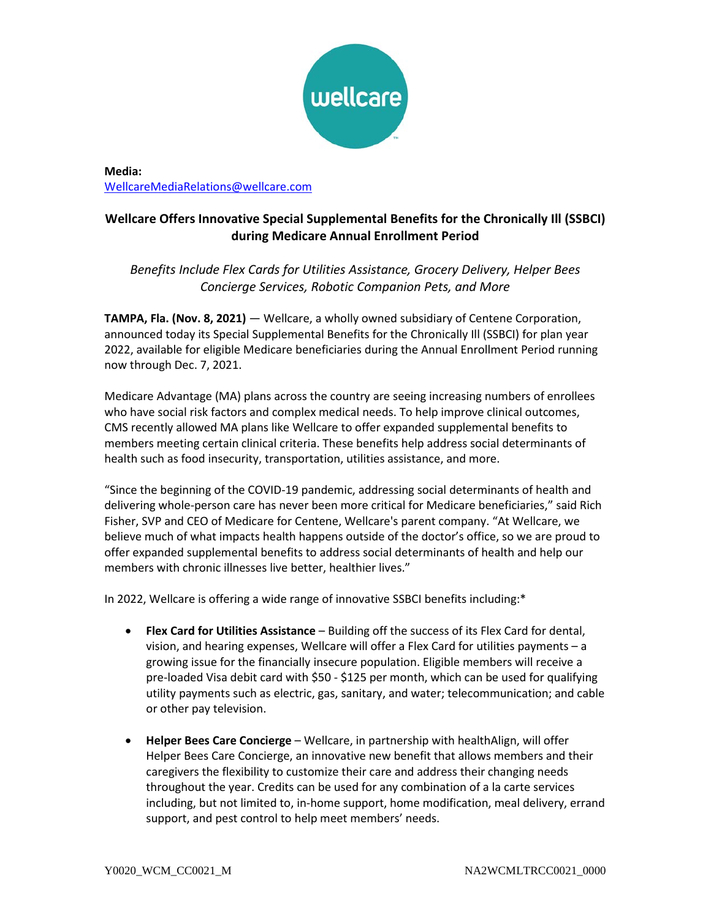

**Media:** [WellcareMediaRelations@wellcare.com](mailto:WellcareMediaRelations@wellcare.com)

## **Wellcare Offers Innovative Special Supplemental Benefits for the Chronically Ill (SSBCI) during Medicare Annual Enrollment Period**

*Benefits Include Flex Cards for Utilities Assistance, Grocery Delivery, Helper Bees Concierge Services, Robotic Companion Pets, and More*

**TAMPA, Fla. (Nov. 8, 2021)** — Wellcare, a wholly owned subsidiary of Centene Corporation, announced today its Special Supplemental Benefits for the Chronically Ill (SSBCI) for plan year 2022, available for eligible Medicare beneficiaries during the Annual Enrollment Period running now through Dec. 7, 2021.

Medicare Advantage (MA) plans across the country are seeing increasing numbers of enrollees who have social risk factors and complex medical needs. To help improve clinical outcomes, CMS recently allowed MA plans like Wellcare to offer expanded supplemental benefits to members meeting certain clinical criteria. These benefits help address social determinants of health such as food insecurity, transportation, utilities assistance, and more.

"Since the beginning of the COVID-19 pandemic, addressing social determinants of health and delivering whole-person care has never been more critical for Medicare beneficiaries," said Rich Fisher, SVP and CEO of Medicare for Centene, Wellcare's parent company. "At Wellcare, we believe much of what impacts health happens outside of the doctor's office, so we are proud to offer expanded supplemental benefits to address social determinants of health and help our members with chronic illnesses live better, healthier lives."

In 2022, Wellcare is offering a wide range of innovative SSBCI benefits including:\*

- **Flex Card for Utilities Assistance** Building off the success of its Flex Card for dental, vision, and hearing expenses, Wellcare will offer a Flex Card for utilities payments – a growing issue for the financially insecure population. Eligible members will receive a pre-loaded Visa debit card with \$50 - \$125 per month, which can be used for qualifying utility payments such as electric, gas, sanitary, and water; telecommunication; and cable or other pay television.
- **Helper Bees Care Concierge**  Wellcare, in partnership with healthAlign, will offer Helper Bees Care Concierge, an innovative new benefit that allows members and their caregivers the flexibility to customize their care and address their changing needs throughout the year. Credits can be used for any combination of a la carte services including, but not limited to, in-home support, home modification, meal delivery, errand support, and pest control to help meet members' needs.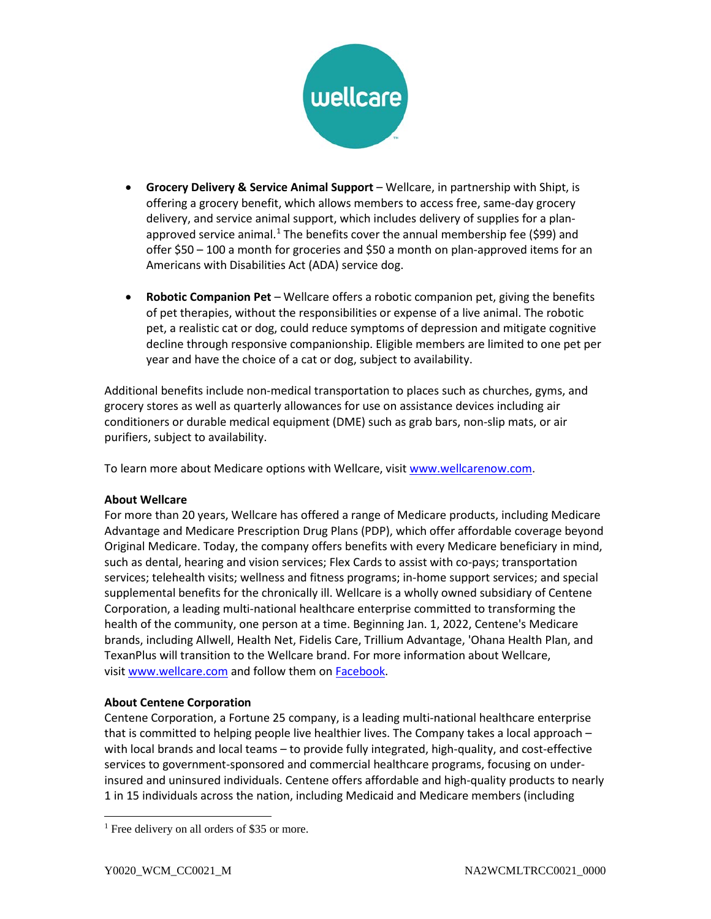

- **Grocery Delivery & Service Animal Support** Wellcare, in partnership with Shipt, is offering a grocery benefit, which allows members to access free, same-day grocery delivery, and service animal support, which includes delivery of supplies for a plan-approved service animal.<sup>[1](#page-1-0)</sup> The benefits cover the annual membership fee (\$99) and offer \$50 – 100 a month for groceries and \$50 a month on plan-approved items for an Americans with Disabilities Act (ADA) service dog.
- **Robotic Companion Pet** Wellcare offers a robotic companion pet, giving the benefits of pet therapies, without the responsibilities or expense of a live animal. The robotic pet, a realistic cat or dog, could reduce symptoms of depression and mitigate cognitive decline through responsive companionship. Eligible members are limited to one pet per year and have the choice of a cat or dog, subject to availability.

Additional benefits include non-medical transportation to places such as churches, gyms, and grocery stores as well as quarterly allowances for use on assistance devices including air conditioners or durable medical equipment (DME) such as grab bars, non-slip mats, or air purifiers, subject to availability.

To learn more about Medicare options with Wellcare, visit [www.wellcarenow.com.](https://urldefense.com/v3/__https:/c212.net/c/link/?t=0&l=en&o=3310934-2&h=837389767&u=http*3A*2F*2Fwww.wellcarenow.com*2F&a=www.wellcarenow.com__;JSUlJQ!!Js732Vmb!8iimmVEYlIj76g5CGoS9a3JJWvSu1Gnh3nENaOlN-mhXSWY-vo5JiYc1XHlYB_XY1_aJ$)

## **About Wellcare**

For more than 20 years, Wellcare has offered a range of Medicare products, including Medicare Advantage and Medicare Prescription Drug Plans (PDP), which offer affordable coverage beyond Original Medicare. Today, the company offers benefits with every Medicare beneficiary in mind, such as dental, hearing and vision services; Flex Cards to assist with co-pays; transportation services; telehealth visits; wellness and fitness programs; in-home support services; and special supplemental benefits for the chronically ill. Wellcare is a wholly owned subsidiary of Centene Corporation, a leading multi-national healthcare enterprise committed to transforming the health of the community, one person at a time. Beginning Jan. 1, 2022, Centene's Medicare brands, including Allwell, Health Net, Fidelis Care, Trillium Advantage, 'Ohana Health Plan, and TexanPlus will transition to the Wellcare brand. For more information about Wellcare, visit [www.wellcare.com](https://urldefense.com/v3/__https:/c212.net/c/link/?t=0&l=en&o=3310934-2&h=229837450&u=http*3A*2F*2Fwww.wellcare.com*2F&a=www.wellcare.com__;JSUlJQ!!Js732Vmb!8iimmVEYlIj76g5CGoS9a3JJWvSu1Gnh3nENaOlN-mhXSWY-vo5JiYc1XHlYB3SIYyZO$) and follow them on [Facebook.](https://urldefense.com/v3/__https:/c212.net/c/link/?t=0&l=en&o=3310934-2&h=1319734675&u=https*3A*2F*2Fwww.facebook.com*2FWellcareMedicare&a=Facebook__;JSUlJQ!!Js732Vmb!8iimmVEYlIj76g5CGoS9a3JJWvSu1Gnh3nENaOlN-mhXSWY-vo5JiYc1XHlYB1flDDFi$)

## **About Centene Corporation**

Centene Corporation, a Fortune 25 company, is a leading multi-national healthcare enterprise that is committed to helping people live healthier lives. The Company takes a local approach – with local brands and local teams – to provide fully integrated, high-quality, and cost-effective services to government-sponsored and commercial healthcare programs, focusing on underinsured and uninsured individuals. Centene offers affordable and high-quality products to nearly 1 in 15 individuals across the nation, including Medicaid and Medicare members (including

<span id="page-1-0"></span><sup>&</sup>lt;sup>1</sup> Free delivery on all orders of \$35 or more.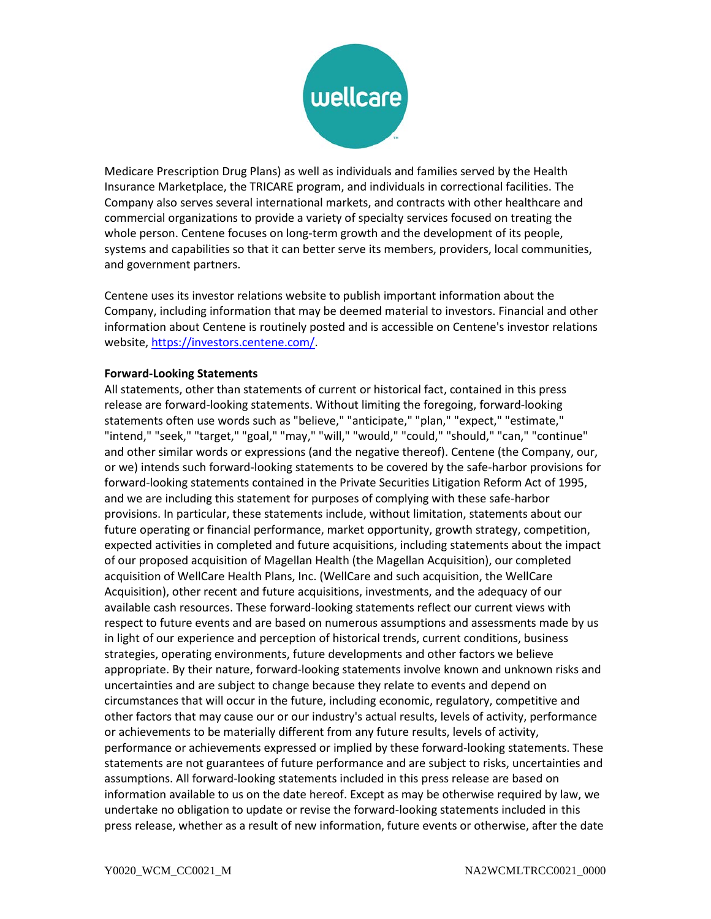

Medicare Prescription Drug Plans) as well as individuals and families served by the Health Insurance Marketplace, the TRICARE program, and individuals in correctional facilities. The Company also serves several international markets, and contracts with other healthcare and commercial organizations to provide a variety of specialty services focused on treating the whole person. Centene focuses on long-term growth and the development of its people, systems and capabilities so that it can better serve its members, providers, local communities, and government partners.

Centene uses its investor relations website to publish important information about the Company, including information that may be deemed material to investors. Financial and other information about Centene is routinely posted and is accessible on Centene's investor relations website, [https://investors.centene.com/.](https://urldefense.com/v3/__https:/c212.net/c/link/?t=0&l=en&o=3310934-2&h=833432498&u=https*3A*2F*2Finvestors.centene.com*2F&a=https*3A*2F*2Finvestors.centene.com*2F__;JSUlJSUlJSU!!Js732Vmb!8iimmVEYlIj76g5CGoS9a3JJWvSu1Gnh3nENaOlN-mhXSWY-vo5JiYc1XHlYB1quP4YB$)

## **Forward-Looking Statements**

All statements, other than statements of current or historical fact, contained in this press release are forward-looking statements. Without limiting the foregoing, forward-looking statements often use words such as "believe," "anticipate," "plan," "expect," "estimate," "intend," "seek," "target," "goal," "may," "will," "would," "could," "should," "can," "continue" and other similar words or expressions (and the negative thereof). Centene (the Company, our, or we) intends such forward-looking statements to be covered by the safe-harbor provisions for forward-looking statements contained in the Private Securities Litigation Reform Act of 1995, and we are including this statement for purposes of complying with these safe-harbor provisions. In particular, these statements include, without limitation, statements about our future operating or financial performance, market opportunity, growth strategy, competition, expected activities in completed and future acquisitions, including statements about the impact of our proposed acquisition of Magellan Health (the Magellan Acquisition), our completed acquisition of WellCare Health Plans, Inc. (WellCare and such acquisition, the WellCare Acquisition), other recent and future acquisitions, investments, and the adequacy of our available cash resources. These forward-looking statements reflect our current views with respect to future events and are based on numerous assumptions and assessments made by us in light of our experience and perception of historical trends, current conditions, business strategies, operating environments, future developments and other factors we believe appropriate. By their nature, forward-looking statements involve known and unknown risks and uncertainties and are subject to change because they relate to events and depend on circumstances that will occur in the future, including economic, regulatory, competitive and other factors that may cause our or our industry's actual results, levels of activity, performance or achievements to be materially different from any future results, levels of activity, performance or achievements expressed or implied by these forward-looking statements. These statements are not guarantees of future performance and are subject to risks, uncertainties and assumptions. All forward-looking statements included in this press release are based on information available to us on the date hereof. Except as may be otherwise required by law, we undertake no obligation to update or revise the forward-looking statements included in this press release, whether as a result of new information, future events or otherwise, after the date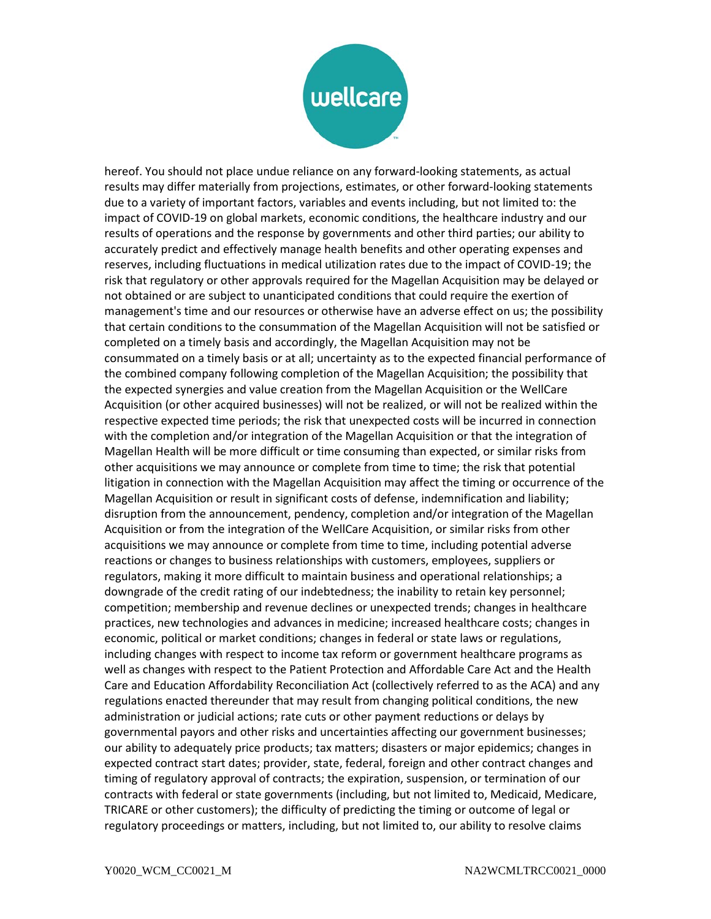

hereof. You should not place undue reliance on any forward-looking statements, as actual results may differ materially from projections, estimates, or other forward-looking statements due to a variety of important factors, variables and events including, but not limited to: the impact of COVID-19 on global markets, economic conditions, the healthcare industry and our results of operations and the response by governments and other third parties; our ability to accurately predict and effectively manage health benefits and other operating expenses and reserves, including fluctuations in medical utilization rates due to the impact of COVID-19; the risk that regulatory or other approvals required for the Magellan Acquisition may be delayed or not obtained or are subject to unanticipated conditions that could require the exertion of management's time and our resources or otherwise have an adverse effect on us; the possibility that certain conditions to the consummation of the Magellan Acquisition will not be satisfied or completed on a timely basis and accordingly, the Magellan Acquisition may not be consummated on a timely basis or at all; uncertainty as to the expected financial performance of the combined company following completion of the Magellan Acquisition; the possibility that the expected synergies and value creation from the Magellan Acquisition or the WellCare Acquisition (or other acquired businesses) will not be realized, or will not be realized within the respective expected time periods; the risk that unexpected costs will be incurred in connection with the completion and/or integration of the Magellan Acquisition or that the integration of Magellan Health will be more difficult or time consuming than expected, or similar risks from other acquisitions we may announce or complete from time to time; the risk that potential litigation in connection with the Magellan Acquisition may affect the timing or occurrence of the Magellan Acquisition or result in significant costs of defense, indemnification and liability; disruption from the announcement, pendency, completion and/or integration of the Magellan Acquisition or from the integration of the WellCare Acquisition, or similar risks from other acquisitions we may announce or complete from time to time, including potential adverse reactions or changes to business relationships with customers, employees, suppliers or regulators, making it more difficult to maintain business and operational relationships; a downgrade of the credit rating of our indebtedness; the inability to retain key personnel; competition; membership and revenue declines or unexpected trends; changes in healthcare practices, new technologies and advances in medicine; increased healthcare costs; changes in economic, political or market conditions; changes in federal or state laws or regulations, including changes with respect to income tax reform or government healthcare programs as well as changes with respect to the Patient Protection and Affordable Care Act and the Health Care and Education Affordability Reconciliation Act (collectively referred to as the ACA) and any regulations enacted thereunder that may result from changing political conditions, the new administration or judicial actions; rate cuts or other payment reductions or delays by governmental payors and other risks and uncertainties affecting our government businesses; our ability to adequately price products; tax matters; disasters or major epidemics; changes in expected contract start dates; provider, state, federal, foreign and other contract changes and timing of regulatory approval of contracts; the expiration, suspension, or termination of our contracts with federal or state governments (including, but not limited to, Medicaid, Medicare, TRICARE or other customers); the difficulty of predicting the timing or outcome of legal or regulatory proceedings or matters, including, but not limited to, our ability to resolve claims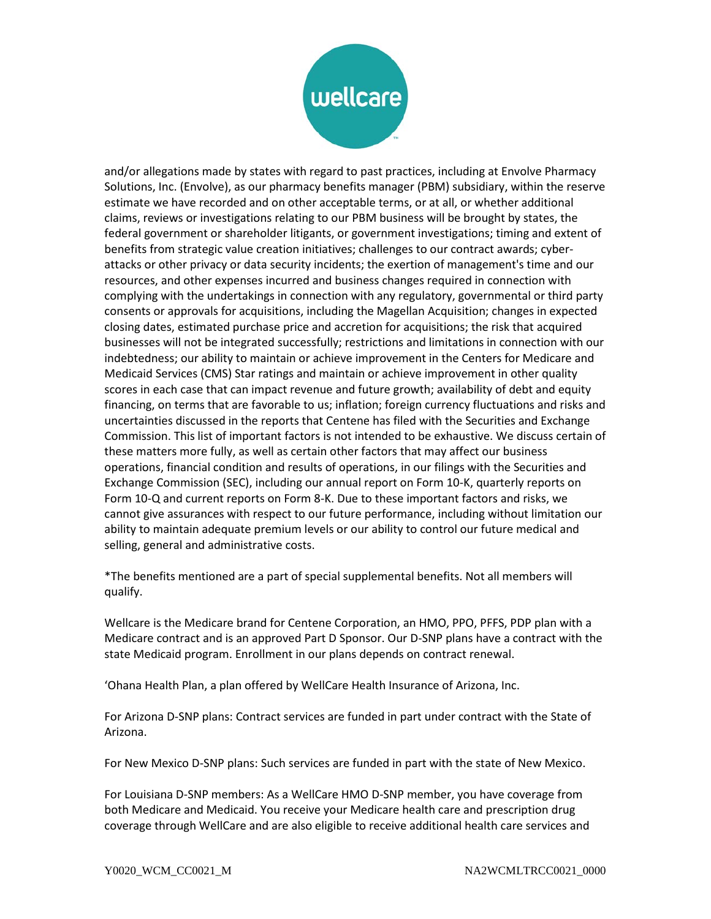

and/or allegations made by states with regard to past practices, including at Envolve Pharmacy Solutions, Inc. (Envolve), as our pharmacy benefits manager (PBM) subsidiary, within the reserve estimate we have recorded and on other acceptable terms, or at all, or whether additional claims, reviews or investigations relating to our PBM business will be brought by states, the federal government or shareholder litigants, or government investigations; timing and extent of benefits from strategic value creation initiatives; challenges to our contract awards; cyberattacks or other privacy or data security incidents; the exertion of management's time and our resources, and other expenses incurred and business changes required in connection with complying with the undertakings in connection with any regulatory, governmental or third party consents or approvals for acquisitions, including the Magellan Acquisition; changes in expected closing dates, estimated purchase price and accretion for acquisitions; the risk that acquired businesses will not be integrated successfully; restrictions and limitations in connection with our indebtedness; our ability to maintain or achieve improvement in the Centers for Medicare and Medicaid Services (CMS) Star ratings and maintain or achieve improvement in other quality scores in each case that can impact revenue and future growth; availability of debt and equity financing, on terms that are favorable to us; inflation; foreign currency fluctuations and risks and uncertainties discussed in the reports that Centene has filed with the Securities and Exchange Commission. This list of important factors is not intended to be exhaustive. We discuss certain of these matters more fully, as well as certain other factors that may affect our business operations, financial condition and results of operations, in our filings with the Securities and Exchange Commission (SEC), including our annual report on Form 10-K, quarterly reports on Form 10-Q and current reports on Form 8-K. Due to these important factors and risks, we cannot give assurances with respect to our future performance, including without limitation our ability to maintain adequate premium levels or our ability to control our future medical and selling, general and administrative costs.

\*The benefits mentioned are a part of special supplemental benefits. Not all members will qualify.

Wellcare is the Medicare brand for Centene Corporation, an HMO, PPO, PFFS, PDP plan with a Medicare contract and is an approved Part D Sponsor. Our D-SNP plans have a contract with the state Medicaid program. Enrollment in our plans depends on contract renewal.

'Ohana Health Plan, a plan offered by WellCare Health Insurance of Arizona, Inc.

For Arizona D-SNP plans: Contract services are funded in part under contract with the State of Arizona.

For New Mexico D-SNP plans: Such services are funded in part with the state of New Mexico.

For Louisiana D-SNP members: As a WellCare HMO D-SNP member, you have coverage from both Medicare and Medicaid. You receive your Medicare health care and prescription drug coverage through WellCare and are also eligible to receive additional health care services and